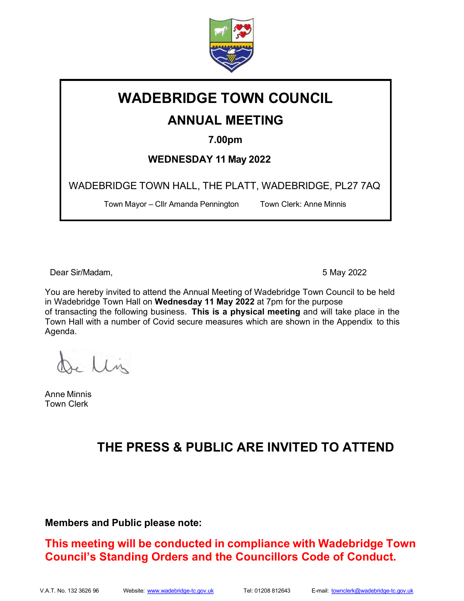

# WADEBRIDGE TOWN COUNCIL

# ANNUAL MEETING

7.00pm

WEDNESDAY 11 May 2022

WADEBRIDGE TOWN HALL, THE PLATT, WADEBRIDGE, PL27 7AQ

Town Mayor – Cllr Amanda Pennington Town Clerk: Anne Minnis

Dear Sir/Madam, 5 May 2022

You are hereby invited to attend the Annual Meeting of Wadebridge Town Council to be held in Wadebridge Town Hall on Wednesday 11 May 2022 at 7pm for the purpose of transacting the following business. This is a physical meeting and will take place in the Town Hall with a number of Covid secure measures which are shown in the Appendix to this Agenda.

Ilin

Anne Minnis Town Clerk

# THE PRESS & PUBLIC ARE INVITED TO ATTEND

## Members and Public please note:

This meeting will be conducted in compliance with Wadebridge Town Council's Standing Orders and the Councillors Code of Conduct.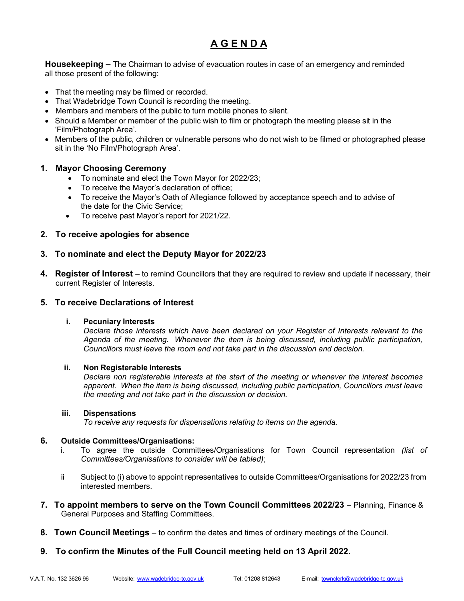# A G E N D A

**Housekeeping –** The Chairman to advise of evacuation routes in case of an emergency and reminded all those present of the following:

- That the meeting may be filmed or recorded.
- That Wadebridge Town Council is recording the meeting.
- Members and members of the public to turn mobile phones to silent.
- Should a Member or member of the public wish to film or photograph the meeting please sit in the 'Film/Photograph Area'.
- Members of the public, children or vulnerable persons who do not wish to be filmed or photographed please sit in the 'No Film/Photograph Area'.

#### 1. Mayor Choosing Ceremony

- To nominate and elect the Town Mayor for 2022/23;
- To receive the Mayor's declaration of office;
- To receive the Mayor's Oath of Allegiance followed by acceptance speech and to advise of the date for the Civic Service;
- To receive past Mayor's report for 2021/22.

#### 2. To receive apologies for absence

#### 3. To nominate and elect the Deputy Mayor for 2022/23

4. Register of Interest – to remind Councillors that they are required to review and update if necessary, their current Register of Interests.

#### 5. To receive Declarations of Interest

#### i. Pecuniary Interests

Declare those interests which have been declared on your Register of Interests relevant to the Agenda of the meeting. Whenever the item is being discussed, including public participation, Councillors must leave the room and not take part in the discussion and decision.

#### ii. Non Registerable Interests

Declare non registerable interests at the start of the meeting or whenever the interest becomes apparent. When the item is being discussed, including public participation, Councillors must leave the meeting and not take part in the discussion or decision.

#### iii. Dispensations

To receive any requests for dispensations relating to items on the agenda.

#### 6. Outside Committees/Organisations:

- i. To agree the outside Committees/Organisations for Town Council representation (list of Committees/Organisations to consider will be tabled);
- ii Subject to (i) above to appoint representatives to outside Committees/Organisations for 2022/23 from interested members.
- 7. To appoint members to serve on the Town Council Committees 2022/23 Planning, Finance & General Purposes and Staffing Committees.
- 8. Town Council Meetings to confirm the dates and times of ordinary meetings of the Council.
- 9. To confirm the Minutes of the Full Council meeting held on 13 April 2022.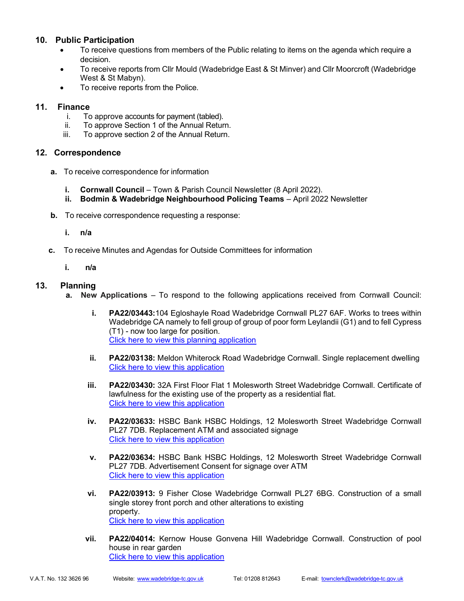## 10. Public Participation

- To receive questions from members of the Public relating to items on the agenda which require a decision.
- To receive reports from Cllr Mould (Wadebridge East & St Minver) and Cllr Moorcroft (Wadebridge West & St Mabyn).
- To receive reports from the Police.

## 11. Finance

- i. To approve accounts for payment (tabled).
- ii. To approve Section 1 of the Annual Return.
- iii. To approve section 2 of the Annual Return.

## 12. Correspondence

- a. To receive correspondence for information
	- **i.** Cornwall Council Town & Parish Council Newsletter (8 April 2022).
	- ii. Bodmin & Wadebridge Neighbourhood Policing Teams April 2022 Newsletter
- **b.** To receive correspondence requesting a response:
	- i. n/a
- c. To receive Minutes and Agendas for Outside Committees for information
	- i. n/a

## 13. Planning

- a. New Applications To respond to the following applications received from Cornwall Council:
	- i. PA22/03443:104 Egloshayle Road Wadebridge Cornwall PL27 6AF. Works to trees within Wadebridge CA namely to fell group of group of poor form Leylandii (G1) and to fell Cypress (T1) - now too large for position. Click here to view this planning application
	- ii. PA22/03138: Meldon Whiterock Road Wadebridge Cornwall. Single replacement dwelling Click here to view this application
	- iii. PA22/03430: 32A First Floor Flat 1 Molesworth Street Wadebridge Cornwall. Certificate of lawfulness for the existing use of the property as a residential flat. Click here to view this application
	- iv. PA22/03633: HSBC Bank HSBC Holdings, 12 Molesworth Street Wadebridge Cornwall PL27 7DB. Replacement ATM and associated signage Click here to view this application
	- v. PA22/03634: HSBC Bank HSBC Holdings, 12 Molesworth Street Wadebridge Cornwall PL27 7DB. Advertisement Consent for signage over ATM Click here to view this application
	- vi. PA22/03913: 9 Fisher Close Wadebridge Cornwall PL27 6BG. Construction of a small single storey front porch and other alterations to existing property. Click here to view this application
	- vii. PA22/04014: Kernow House Gonvena Hill Wadebridge Cornwall. Construction of pool house in rear garden Click here to view this application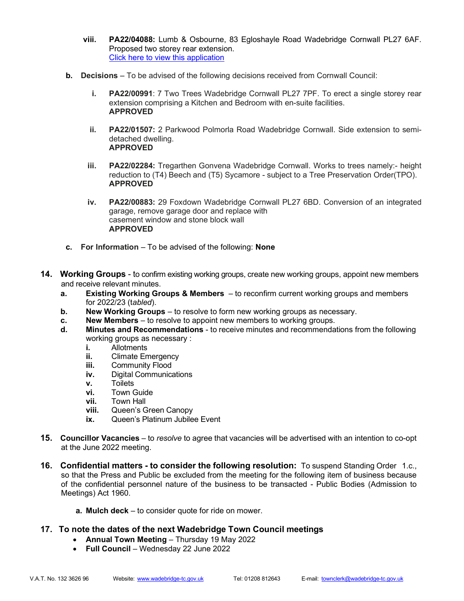- viii. PA22/04088: Lumb & Osbourne, 83 Egloshayle Road Wadebridge Cornwall PL27 6AF. Proposed two storey rear extension. Click here to view this application
- b. Decisions To be advised of the following decisions received from Cornwall Council:
	- i. PA22/00991: 7 Two Trees Wadebridge Cornwall PL27 7PF. To erect a single storey rear extension comprising a Kitchen and Bedroom with en-suite facilities. APPROVED
	- ii. PA22/01507: 2 Parkwood Polmorla Road Wadebridge Cornwall. Side extension to semidetached dwelling. APPROVED
	- iii. PA22/02284: Tregarthen Gonvena Wadebridge Cornwall. Works to trees namely:- height reduction to (T4) Beech and (T5) Sycamore - subject to a Tree Preservation Order(TPO). APPROVED
	- iv. PA22/00883: 29 Foxdown Wadebridge Cornwall PL27 6BD. Conversion of an integrated garage, remove garage door and replace with casement window and stone block wall APPROVED
- c. For Information To be advised of the following: None
- **14. Working Groups** to confirm existing working groups, create new working groups, appoint new members and receive relevant minutes.
	- a. Existing Working Groups & Members to reconfirm current working groups and members for 2022/23 (tabled).
	- b. New Working Groups to resolve to form new working groups as necessary.
	- c. New Members to resolve to appoint new members to working groups.
	- d. Minutes and Recommendations to receive minutes and recommendations from the following working groups as necessary :
		- i. Allotments
		- **ii.** Climate Emergency
		- **iii.** Community Flood
		- iv. Digital Communications
		- v. Toilets
		- vi. Town Guide
		- vii. Town Hall
		- viii. Queen's Green Canopy
		- ix. Queen's Platinum Jubilee Event
- **15. Councillor Vacancies** to resolve to agree that vacancies will be advertised with an intention to co-opt at the June 2022 meeting.
- 16. Confidential matters to consider the following resolution: To suspend Standing Order 1.c., so that the Press and Public be excluded from the meeting for the following item of business because of the confidential personnel nature of the business to be transacted - Public Bodies (Admission to Meetings) Act 1960.
	- a. Mulch deck to consider quote for ride on mower.
- 17. To note the dates of the next Wadebridge Town Council meetings
	- Annual Town Meeting Thursday 19 May 2022
	- Full Council Wednesday 22 June 2022